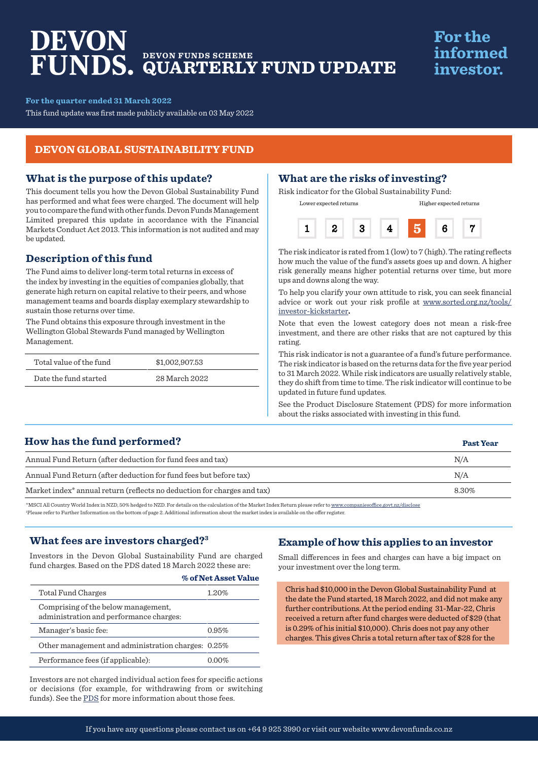# DEVON **DEVON FUNDS SCHEME QUARTERLY FUND UPDATE**

## **For the** informed investor.

**Past Year**

**For the quarter ended 31 March 2022**

This fund update was first made publicly available on 03 May 2022

#### **DEVON GLOBAL SUSTAINABILITY FUND**

#### **What is the purpose of this update?**

This document tells you how the Devon Global Sustainability Fund has performed and what fees were charged. The document will help you to compare the fund with other funds. Devon Funds Management Limited prepared this update in accordance with the Financial Markets Conduct Act 2013. This information is not audited and may be updated.

### **Description of this fund**

The Fund aims to deliver long-term total returns in excess of the index by investing in the equities of companies globally, that generate high return on capital relative to their peers, and whose management teams and boards display exemplary stewardship to sustain those returns over time.

The Fund obtains this exposure through investment in the Wellington Global Stewards Fund managed by Wellington Management.

| Total value of the fund | \$1,002,907.53 |
|-------------------------|----------------|
| Date the fund started   | 28 March 2022  |

#### **What are the risks of investing?**

Risk indicator for the Global Sustainability Fund:



Lower expected returns Higher expected returns

The risk indicator is rated from  $1$  (low) to  $7$  (high). The rating reflects how much the value of the fund's assets goes up and down. A higher risk generally means higher potential returns over time, but more ups and downs along the way.

To help you clarify your own attitude to risk, you can seek financial advice or work out your risk profile at [www.sorted.org.nz/tools/](http://www.sorted.org.nz/tools/investor-kickstarter) [investor-kickstarter](http://www.sorted.org.nz/tools/investor-kickstarter)**.**

Note that even the lowest category does not mean a risk-free investment, and there are other risks that are not captured by this rating.

This risk indicator is not a guarantee of a fund's future performance. The risk indicator is based on the returns data for the five year period to 31 March 2022. While risk indicators are usually relatively stable, they do shift from time to time. The risk indicator will continue to be updated in future fund updates.

See the Product Disclosure Statement (PDS) for more information about the risks associated with investing in this fund.

### **How has the fund performed?**

| Annual Fund Return (after deduction for fund fees and tax)                                                                                                                              | N/A   |
|-----------------------------------------------------------------------------------------------------------------------------------------------------------------------------------------|-------|
| Annual Fund Return (after deduction for fund fees but before tax)                                                                                                                       | N/A   |
| Market index <sup>*</sup> annual return (reflects no deduction for charges and tax)                                                                                                     | 8.30% |
| SMOOT All Corresponded Industry MVD, FOW hodered to MVD. The details on the coloralistic of the Moulet Index Determination of content common concert coefficies on a set on disolarship |       |

\*MSCI All Country World Index in NZD, 50% hedged to NZD. For details on the calculation of the Market Index Return please refer to www.companiesoffice.govt.nz/disclose 1 Please refer to Further Information on the bottom of page 2. Additional information about the market index is available on the offer register.

#### **What fees are investors charged?3**

Investors in the Devon Global Sustainability Fund are charged fund charges. Based on the PDS dated 18 March 2022 these are:

|                                                                                | % of Net Asset Value |
|--------------------------------------------------------------------------------|----------------------|
| Total Fund Charges                                                             | 1.20%                |
| Comprising of the below management,<br>administration and performance charges: |                      |
| Manager's basic fee:                                                           | 0.95%                |
| Other management and administration charges: 0.25%                             |                      |
| Performance fees (if applicable):                                              | $0.00\%$             |

Investors are not charged individual action fees for specific actions or decisions (for example, for withdrawing from or switching funds). See the [PDS](https://devonfunds.co.nz/sites/default/files/Devon%20Investment%20Funds%20Product%20Disclosure%20Statement.pdf) for more information about those fees.

#### **Example of how this applies to an investor**

Small differences in fees and charges can have a big impact on your investment over the long term.

Chris had \$10,000 in the Devon Global Sustainability Fund at the date the Fund started, 18 March 2022, and did not make any further contributions. At the period ending 31-Mar-22, Chris received a return after fund charges were deducted of \$29 (that is 0.29% of his initial \$10,000). Chris does not pay any other charges. This gives Chris a total return after tax of \$28 for the